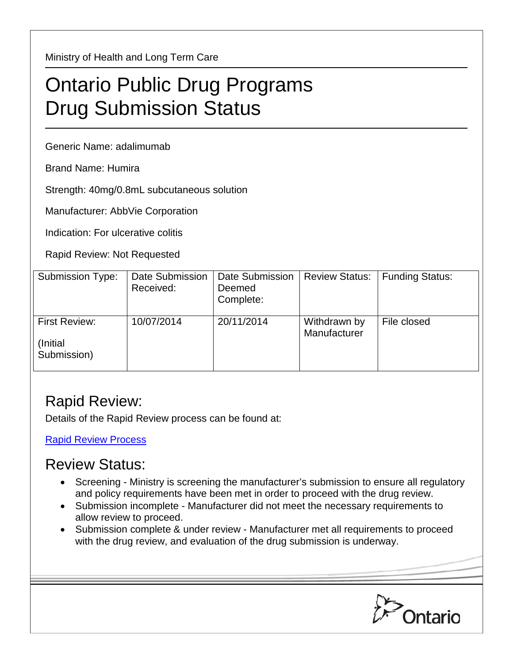Ministry of Health and Long Term Care

## Ontario Public Drug Programs Drug Submission Status

Generic Name: adalimumab

Brand Name: Humira

Strength: 40mg/0.8mL subcutaneous solution

Manufacturer: AbbVie Corporation

Indication: For ulcerative colitis

Rapid Review: Not Requested

| Submission Type:                         | Date Submission<br>Received: | <b>Date Submission</b><br>Deemed<br>Complete: | <b>Review Status:</b>        | <b>Funding Status:</b> |
|------------------------------------------|------------------------------|-----------------------------------------------|------------------------------|------------------------|
| First Review:<br>(Initial<br>Submission) | 10/07/2014                   | 20/11/2014                                    | Withdrawn by<br>Manufacturer | File closed            |

## Rapid Review:

Details of the Rapid Review process can be found at:

[Rapid Review Process](http://www.health.gov.on.ca/en/pro/programs/drugs/drug_submissions/rapid_review_process.aspx)

## Review Status:

- Screening Ministry is screening the manufacturer's submission to ensure all regulatory and policy requirements have been met in order to proceed with the drug review.
- Submission incomplete Manufacturer did not meet the necessary requirements to allow review to proceed.
- Submission complete & under review Manufacturer met all requirements to proceed with the drug review, and evaluation of the drug submission is underway.